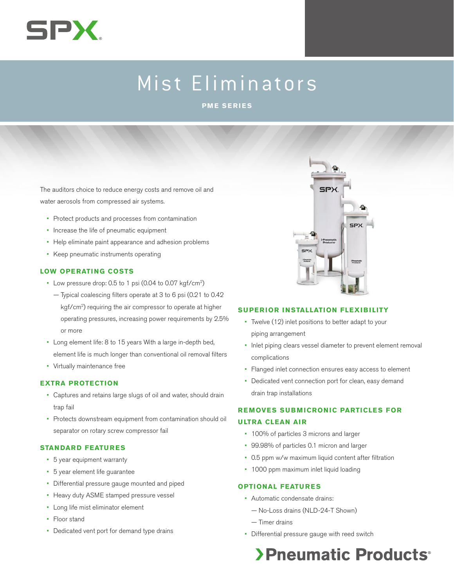

# Mist Eliminators

**PME SERIES**

The auditors choice to reduce energy costs and remove oil and water aerosols from compressed air systems.

- Protect products and processes from contamination
- • Increase the life of pneumatic equipment
- • Help eliminate paint appearance and adhesion problems
- • Keep pneumatic instruments operating

#### **LOW OPERATING COSTS**

- Low pressure drop: 0.5 to 1 psi (0.04 to 0.07 kgf/cm<sup>2</sup>)
	- Typical coalescing filters operate at 3 to 6 psi (0.21 to 0.42 kgf/cm2) requiring the air compressor to operate at higher operating pressures, increasing power requirements by 2.5% or more
- • Long element life: 8 to 15 years With a large in-depth bed, element life is much longer than conventional oil removal filters
- • Virtually maintenance free

#### **EXTRA PROTECTION**

- • Captures and retains large slugs of oil and water, should drain trap fail
- Protects downstream equipment from contamination should oil separator on rotary screw compressor fail

#### **STANDARD FEATURES**

- • 5 year equipment warranty
- • 5 year element life guarantee
- • Differential pressure gauge mounted and piped
- Heavy duty ASME stamped pressure vessel
- • Long life mist eliminator element
- Floor stand
- Dedicated vent port for demand type drains



#### **SUPERIOR INSTALLATION FLEXIBILITY**

- • Twelve (12) inlet positions to better adapt to your piping arrangement
- • Inlet piping clears vessel diameter to prevent element removal complications
- • Flanged inlet connection ensures easy access to element
- Dedicated vent connection port for clean, easy demand drain trap installations

### **REMOVES SUBMICRONIC PARTICLES FOR**

#### **ULTRA CLEAN AIR**

- • 100% of particles 3 microns and larger
- • 99.98% of particles 0.1 micron and larger
- • 0.5 ppm w/w maximum liquid content after filtration
- 1000 ppm maximum inlet liquid loading

#### **OPTIONAL FEATURES**

- • Automatic condensate drains:
	- No-Loss drains (NLD-24-T Shown)
	- Timer drains
- • Differential pressure gauge with reed switch

## >Pneumatic Products<sup>®</sup>